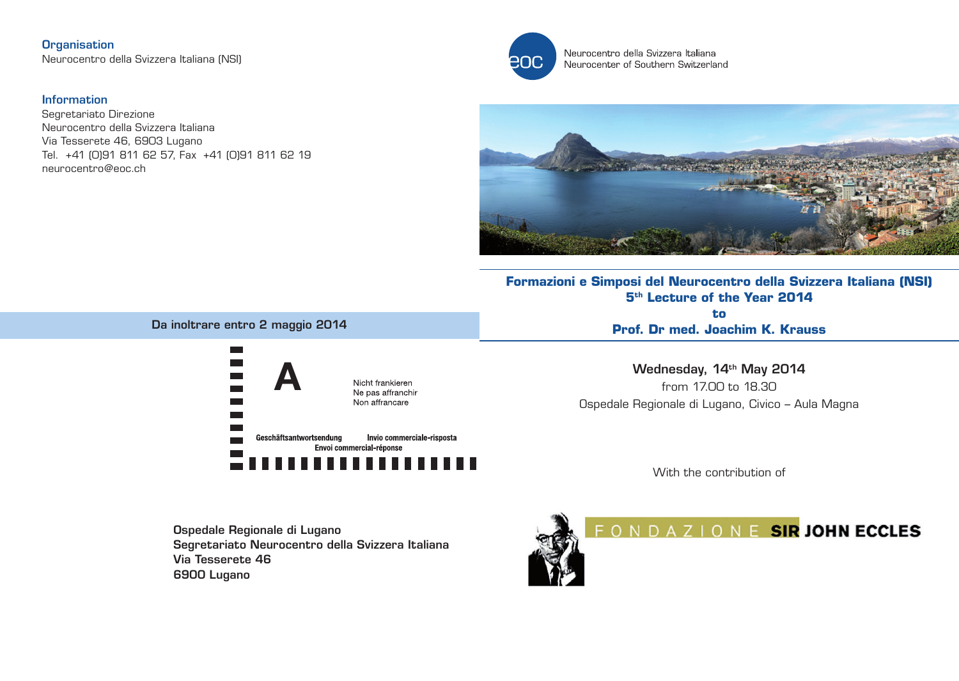**Organisation** Neurocentro della Svizzera Italiana (NSI)

### Information

Segretariato Direzione Neurocentro della Svizzera Italiana Via Tesserete 46, 6903 Lugano Tel. +41 (0)91 811 62 57, Fax +41 (0)91 811 62 19 neurocentro@eoc.ch



Neurocentro della Svizzera Italiana Neurocenter of Southern Switzerland



# **Formazioni e Simposi del Neurocentro della Svizzera Italiana (NSI) 5th Lecture of the Year 2014**

**to Prof. Dr med. Joachim K. Krauss** 

Wednesday, 14<sup>th</sup> May 2014 from 17.00 to 18.30 Ospedale Regionale di Lugano, Civico – Aula Magna

With the contribution of

Ospedale Regionale di Lugano Segretariato Neurocentro della Svizzera Italiana Via Tesserete 46 6900 Lugano



FONDAZIONE SIR JOHN ECCLES

### Da inoltrare entro 2 maggio 2014

A

Geschäftsantwortsendung

Nicht frankieren Ne pas affranchir Non affrancare

Envoi commercial-réponse

Invio commerciale-risposta